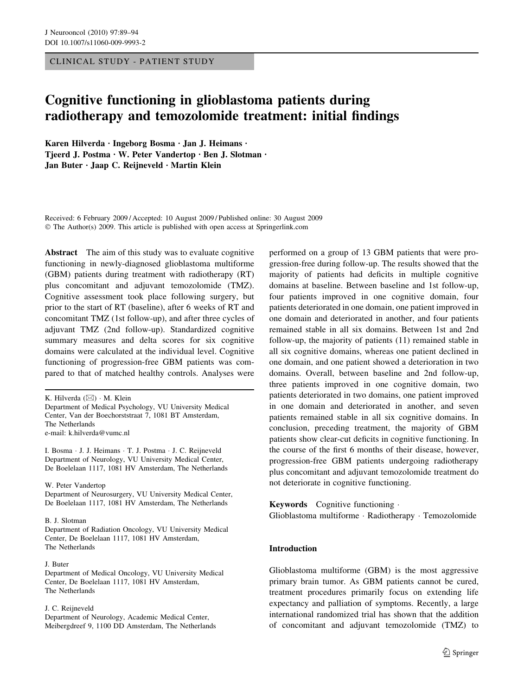CLINICAL STUDY - PATIENT STUDY

# Cognitive functioning in glioblastoma patients during radiotherapy and temozolomide treatment: initial findings

Karen Hilverda · Ingeborg Bosma · Jan J. Heimans · Tjeerd J. Postma · W. Peter Vandertop · Ben J. Slotman · Jan Buter  $\cdot$  Jaap C. Reijneveld  $\cdot$  Martin Klein

Received: 6 February 2009 / Accepted: 10 August 2009 / Published online: 30 August 2009  $\odot$  The Author(s) 2009. This article is published with open access at Springerlink.com

Abstract The aim of this study was to evaluate cognitive functioning in newly-diagnosed glioblastoma multiforme (GBM) patients during treatment with radiotherapy (RT) plus concomitant and adjuvant temozolomide (TMZ). Cognitive assessment took place following surgery, but prior to the start of RT (baseline), after 6 weeks of RT and concomitant TMZ (1st follow-up), and after three cycles of adjuvant TMZ (2nd follow-up). Standardized cognitive summary measures and delta scores for six cognitive domains were calculated at the individual level. Cognitive functioning of progression-free GBM patients was compared to that of matched healthy controls. Analyses were

I. Bosma · J. J. Heimans · T. J. Postma · J. C. Reijneveld Department of Neurology, VU University Medical Center, De Boelelaan 1117, 1081 HV Amsterdam, The Netherlands

W. Peter Vandertop

Department of Neurosurgery, VU University Medical Center, De Boelelaan 1117, 1081 HV Amsterdam, The Netherlands

B. J. Slotman

### Department of Radiation Oncology, VU University Medical Center, De Boelelaan 1117, 1081 HV Amsterdam, The Netherlands

### J. Buter

Department of Medical Oncology, VU University Medical Center, De Boelelaan 1117, 1081 HV Amsterdam, The Netherlands

### J. C. Reijneveld

Department of Neurology, Academic Medical Center, Meibergdreef 9, 1100 DD Amsterdam, The Netherlands performed on a group of 13 GBM patients that were progression-free during follow-up. The results showed that the majority of patients had deficits in multiple cognitive domains at baseline. Between baseline and 1st follow-up, four patients improved in one cognitive domain, four patients deteriorated in one domain, one patient improved in one domain and deteriorated in another, and four patients remained stable in all six domains. Between 1st and 2nd follow-up, the majority of patients (11) remained stable in all six cognitive domains, whereas one patient declined in one domain, and one patient showed a deterioration in two domains. Overall, between baseline and 2nd follow-up, three patients improved in one cognitive domain, two patients deteriorated in two domains, one patient improved in one domain and deteriorated in another, and seven patients remained stable in all six cognitive domains. In conclusion, preceding treatment, the majority of GBM patients show clear-cut deficits in cognitive functioning. In the course of the first 6 months of their disease, however, progression-free GBM patients undergoing radiotherapy plus concomitant and adjuvant temozolomide treatment do not deteriorate in cognitive functioning.

Keywords Cognitive functioning. Glioblastoma multiforme · Radiotherapy · Temozolomide

### Introduction

Glioblastoma multiforme (GBM) is the most aggressive primary brain tumor. As GBM patients cannot be cured, treatment procedures primarily focus on extending life expectancy and palliation of symptoms. Recently, a large international randomized trial has shown that the addition of concomitant and adjuvant temozolomide (TMZ) to

K. Hilverda  $(\boxtimes) \cdot M$ . Klein Department of Medical Psychology, VU University Medical Center, Van der Boechorststraat 7, 1081 BT Amsterdam, The Netherlands e-mail: k.hilverda@vumc.nl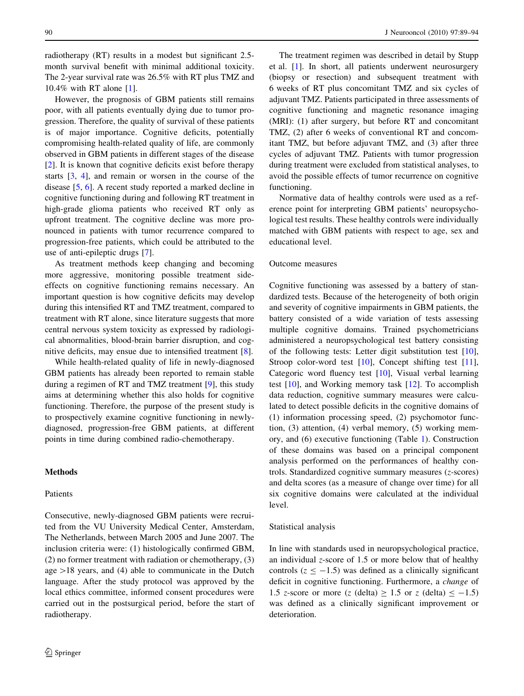radiotherapy (RT) results in a modest but significant 2.5 month survival benefit with minimal additional toxicity. The 2-year survival rate was 26.5% with RT plus TMZ and 10.4% with RT alone [[1\]](#page-4-0).

However, the prognosis of GBM patients still remains poor, with all patients eventually dying due to tumor progression. Therefore, the quality of survival of these patients is of major importance. Cognitive deficits, potentially compromising health-related quality of life, are commonly observed in GBM patients in different stages of the disease [\[2](#page-5-0)]. It is known that cognitive deficits exist before therapy starts [[3,](#page-5-0) [4\]](#page-5-0), and remain or worsen in the course of the disease [\[5](#page-5-0), [6\]](#page-5-0). A recent study reported a marked decline in cognitive functioning during and following RT treatment in high-grade glioma patients who received RT only as upfront treatment. The cognitive decline was more pronounced in patients with tumor recurrence compared to progression-free patients, which could be attributed to the use of anti-epileptic drugs [\[7](#page-5-0)].

As treatment methods keep changing and becoming more aggressive, monitoring possible treatment sideeffects on cognitive functioning remains necessary. An important question is how cognitive deficits may develop during this intensified RT and TMZ treatment, compared to treatment with RT alone, since literature suggests that more central nervous system toxicity as expressed by radiological abnormalities, blood-brain barrier disruption, and cognitive deficits, may ensue due to intensified treatment [\[8](#page-5-0)].

While health-related quality of life in newly-diagnosed GBM patients has already been reported to remain stable during a regimen of RT and TMZ treatment [\[9](#page-5-0)], this study aims at determining whether this also holds for cognitive functioning. Therefore, the purpose of the present study is to prospectively examine cognitive functioning in newlydiagnosed, progression-free GBM patients, at different points in time during combined radio-chemotherapy.

# Methods

### Patients

Consecutive, newly-diagnosed GBM patients were recruited from the VU University Medical Center, Amsterdam, The Netherlands, between March 2005 and June 2007. The inclusion criteria were: (1) histologically confirmed GBM, (2) no former treatment with radiation or chemotherapy, (3) age  $>18$  years, and (4) able to communicate in the Dutch language. After the study protocol was approved by the local ethics committee, informed consent procedures were carried out in the postsurgical period, before the start of radiotherapy.

The treatment regimen was described in detail by Stupp et al. [\[1](#page-4-0)]. In short, all patients underwent neurosurgery (biopsy or resection) and subsequent treatment with 6 weeks of RT plus concomitant TMZ and six cycles of adjuvant TMZ. Patients participated in three assessments of cognitive functioning and magnetic resonance imaging (MRI): (1) after surgery, but before RT and concomitant TMZ, (2) after 6 weeks of conventional RT and concomitant TMZ, but before adjuvant TMZ, and (3) after three cycles of adjuvant TMZ. Patients with tumor progression during treatment were excluded from statistical analyses, to avoid the possible effects of tumor recurrence on cognitive functioning.

Normative data of healthy controls were used as a reference point for interpreting GBM patients' neuropsychological test results. These healthy controls were individually matched with GBM patients with respect to age, sex and educational level.

### Outcome measures

Cognitive functioning was assessed by a battery of standardized tests. Because of the heterogeneity of both origin and severity of cognitive impairments in GBM patients, the battery consisted of a wide variation of tests assessing multiple cognitive domains. Trained psychometricians administered a neuropsychological test battery consisting of the following tests: Letter digit substitution test [\[10](#page-5-0)], Stroop color-word test [\[10](#page-5-0)], Concept shifting test [\[11](#page-5-0)], Categoric word fluency test [[10\]](#page-5-0), Visual verbal learning test [\[10](#page-5-0)], and Working memory task [\[12](#page-5-0)]. To accomplish data reduction, cognitive summary measures were calculated to detect possible deficits in the cognitive domains of (1) information processing speed, (2) psychomotor function, (3) attention, (4) verbal memory, (5) working memory, and (6) executive functioning (Table [1](#page-2-0)). Construction of these domains was based on a principal component analysis performed on the performances of healthy controls. Standardized cognitive summary measures (z-scores) and delta scores (as a measure of change over time) for all six cognitive domains were calculated at the individual level.

# Statistical analysis

In line with standards used in neuropsychological practice, an individual z-score of 1.5 or more below that of healthy controls ( $z \le -1.5$ ) was defined as a clinically significant deficit in cognitive functioning. Furthermore, a change of 1.5 z-score or more (z (delta)  $\ge$  1.5 or z (delta)  $\le$  -1.5) was defined as a clinically significant improvement or deterioration.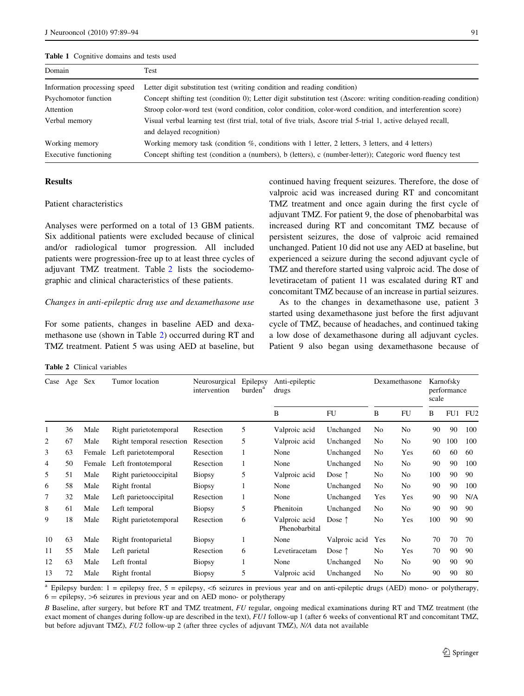#### <span id="page-2-0"></span>Table 1 Cognitive domains and tests used

| Domain                       | Test                                                                                                                       |
|------------------------------|----------------------------------------------------------------------------------------------------------------------------|
| Information processing speed | Letter digit substitution test (writing condition and reading condition)                                                   |
| Psychomotor function         | Concept shifting test (condition 0); Letter digit substitution test ( $\Delta$ score: writing condition-reading condition) |
| Attention                    | Stroop color-word test (word condition, color condition, color-word condition, and interferention score)                   |
| Verbal memory                | Visual verbal learning test (first trial, total of five trials, Ascore trial 5-trial 1, active delayed recall,             |
|                              | and delayed recognition)                                                                                                   |
| Working memory               | Working memory task (condition %, conditions with 1 letter, 2 letters, 3 letters, and 4 letters)                           |
| Executive functioning        | Concept shifting test (condition a (numbers), b (letters), c (number-letter)); Categoric word fluency test                 |

# Results

### Patient characteristics

Analyses were performed on a total of 13 GBM patients. Six additional patients were excluded because of clinical and/or radiological tumor progression. All included patients were progression-free up to at least three cycles of adjuvant TMZ treatment. Table 2 lists the sociodemographic and clinical characteristics of these patients.

### Changes in anti-epileptic drug use and dexamethasone use

For some patients, changes in baseline AED and dexamethasone use (shown in Table 2) occurred during RT and TMZ treatment. Patient 5 was using AED at baseline, but continued having frequent seizures. Therefore, the dose of valproic acid was increased during RT and concomitant TMZ treatment and once again during the first cycle of adjuvant TMZ. For patient 9, the dose of phenobarbital was increased during RT and concomitant TMZ because of persistent seizures, the dose of valproic acid remained unchanged. Patient 10 did not use any AED at baseline, but experienced a seizure during the second adjuvant cycle of TMZ and therefore started using valproic acid. The dose of levetiracetam of patient 11 was escalated during RT and concomitant TMZ because of an increase in partial seizures.

As to the changes in dexamethasone use, patient 3 started using dexamethasone just before the first adjuvant cycle of TMZ, because of headaches, and continued taking a low dose of dexamethasone during all adjuvant cycles. Patient 9 also began using dexamethasone because of

Table 2 Clinical variables

| Case | Age | <b>Sex</b> | Tumor location           | Neurosurgical<br>intervention | Epilepsy<br>burden <sup>a</sup> | Anti-epileptic<br>drugs        | Dexamethasone   |                | Karnofsky<br>performance<br>scale |     |     |     |
|------|-----|------------|--------------------------|-------------------------------|---------------------------------|--------------------------------|-----------------|----------------|-----------------------------------|-----|-----|-----|
|      |     |            |                          |                               |                                 | B                              | <b>FU</b>       | B              | <b>FU</b>                         | B   | FU1 | FU2 |
| 1    | 36  | Male       | Right parietotemporal    | Resection                     | 5                               | Valproic acid                  | Unchanged       | No             | No                                | 90  | 90  | 100 |
| 2    | 67  | Male       | Right temporal resection | Resection                     | 5                               | Valproic acid                  | Unchanged       | No             | No                                | 90  | 100 | 100 |
| 3    | 63  | Female     | Left parietotemporal     | Resection                     | 1                               | None                           | Unchanged       | No             | Yes                               | 60  | 60  | 60  |
| 4    | 50  | Female     | Left frontotemporal      | Resection                     | 1                               | None                           | Unchanged       | No             | No                                | 90  | 90  | 100 |
| 5    | 51  | Male       | Right parietooccipital   | <b>Biopsy</b>                 | 5                               | Valproic acid                  | Dose $\uparrow$ | No             | No                                | 100 | 90  | 90  |
| 6    | 58  | Male       | Right frontal            | <b>Biopsy</b>                 | 1                               | None                           | Unchanged       | No             | No                                | 90  | 90  | 100 |
| 7    | 32  | Male       | Left parietooccipital    | Resection                     | 1                               | None                           | Unchanged       | Yes            | Yes                               | 90  | 90  | N/A |
| 8    | 61  | Male       | Left temporal            | <b>Biopsy</b>                 | 5                               | Phenitoin                      | Unchanged       | No             | No                                | 90  | 90  | 90  |
| 9    | 18  | Male       | Right parietotemporal    | Resection                     | 6                               | Valproic acid<br>Phenobarbital | Dose $\uparrow$ | No             | Yes                               | 100 | 90  | 90  |
| 10   | 63  | Male       | Right frontoparietal     | <b>Biopsy</b>                 | 1                               | None                           | Valproic acid   | Yes            | No                                | 70  | 70  | 70  |
| 11   | 55  | Male       | Left parietal            | Resection                     | 6                               | Levetiracetam                  | Dose $\uparrow$ | No             | Yes                               | 70  | 90  | 90  |
| 12   | 63  | Male       | Left frontal             | <b>Biopsy</b>                 | 1                               | None                           | Unchanged       | No             | No                                | 90  | 90  | 90  |
| 13   | 72  | Male       | Right frontal            | <b>Biopsy</b>                 | 5                               | Valproic acid                  | Unchanged       | N <sub>0</sub> | No                                | 90  | 90  | 80  |

<sup>a</sup> Epilepsy burden: 1 = epilepsy free, 5 = epilepsy, <6 seizures in previous year and on anti-epileptic drugs (AED) mono- or polytherapy,  $6 =$  epilepsy,  $>6$  seizures in previous year and on AED mono- or polytherapy

B Baseline, after surgery, but before RT and TMZ treatment, FU regular, ongoing medical examinations during RT and TMZ treatment (the exact moment of changes during follow-up are described in the text), FUI follow-up 1 (after 6 weeks of conventional RT and concomitant TMZ, but before adjuvant TMZ), FU2 follow-up 2 (after three cycles of adjuvant TMZ), N/A data not available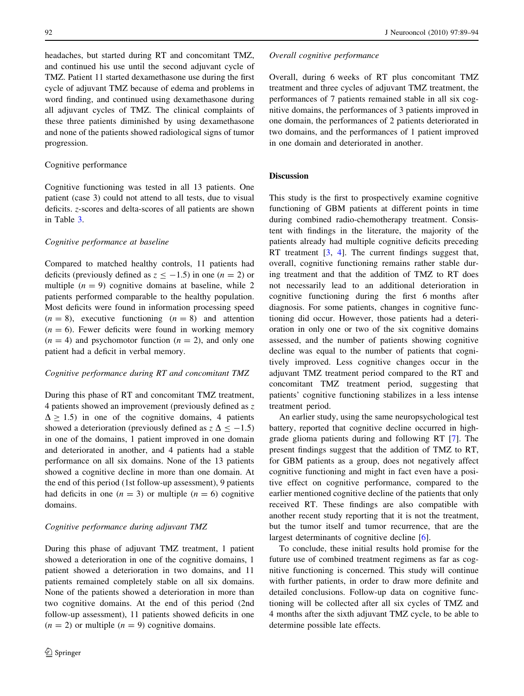headaches, but started during RT and concomitant TMZ, and continued his use until the second adjuvant cycle of TMZ. Patient 11 started dexamethasone use during the first cycle of adjuvant TMZ because of edema and problems in word finding, and continued using dexamethasone during all adjuvant cycles of TMZ. The clinical complaints of these three patients diminished by using dexamethasone and none of the patients showed radiological signs of tumor progression.

# Cognitive performance

Cognitive functioning was tested in all 13 patients. One patient (case 3) could not attend to all tests, due to visual deficits. z-scores and delta-scores of all patients are shown in Table [3](#page-4-0).

# Cognitive performance at baseline

Compared to matched healthy controls, 11 patients had deficits (previously defined as  $z \le -1.5$ ) in one (n = 2) or multiple  $(n = 9)$  cognitive domains at baseline, while 2 patients performed comparable to the healthy population. Most deficits were found in information processing speed  $(n = 8)$ , executive functioning  $(n = 8)$  and attention  $(n = 6)$ . Fewer deficits were found in working memory  $(n = 4)$  and psychomotor function  $(n = 2)$ , and only one patient had a deficit in verbal memory.

### Cognitive performance during RT and concomitant TMZ

During this phase of RT and concomitant TMZ treatment, 4 patients showed an improvement (previously defined as z  $\Delta > 1.5$ ) in one of the cognitive domains, 4 patients showed a deterioration (previously defined as  $z \Delta \le -1.5$ ) in one of the domains, 1 patient improved in one domain and deteriorated in another, and 4 patients had a stable performance on all six domains. None of the 13 patients showed a cognitive decline in more than one domain. At the end of this period (1st follow-up assessment), 9 patients had deficits in one  $(n = 3)$  or multiple  $(n = 6)$  cognitive domains.

### Cognitive performance during adjuvant TMZ

During this phase of adjuvant TMZ treatment, 1 patient showed a deterioration in one of the cognitive domains, 1 patient showed a deterioration in two domains, and 11 patients remained completely stable on all six domains. None of the patients showed a deterioration in more than two cognitive domains. At the end of this period (2nd follow-up assessment), 11 patients showed deficits in one  $(n = 2)$  or multiple  $(n = 9)$  cognitive domains.

#### Overall cognitive performance

Overall, during 6 weeks of RT plus concomitant TMZ treatment and three cycles of adjuvant TMZ treatment, the performances of 7 patients remained stable in all six cognitive domains, the performances of 3 patients improved in one domain, the performances of 2 patients deteriorated in two domains, and the performances of 1 patient improved in one domain and deteriorated in another.

### Discussion

This study is the first to prospectively examine cognitive functioning of GBM patients at different points in time during combined radio-chemotherapy treatment. Consistent with findings in the literature, the majority of the patients already had multiple cognitive deficits preceding RT treatment [[3,](#page-5-0) [4](#page-5-0)]. The current findings suggest that, overall, cognitive functioning remains rather stable during treatment and that the addition of TMZ to RT does not necessarily lead to an additional deterioration in cognitive functioning during the first 6 months after diagnosis. For some patients, changes in cognitive functioning did occur. However, those patients had a deterioration in only one or two of the six cognitive domains assessed, and the number of patients showing cognitive decline was equal to the number of patients that cognitively improved. Less cognitive changes occur in the adjuvant TMZ treatment period compared to the RT and concomitant TMZ treatment period, suggesting that patients' cognitive functioning stabilizes in a less intense treatment period.

An earlier study, using the same neuropsychological test battery, reported that cognitive decline occurred in highgrade glioma patients during and following RT [\[7](#page-5-0)]. The present findings suggest that the addition of TMZ to RT, for GBM patients as a group, does not negatively affect cognitive functioning and might in fact even have a positive effect on cognitive performance, compared to the earlier mentioned cognitive decline of the patients that only received RT. These findings are also compatible with another recent study reporting that it is not the treatment, but the tumor itself and tumor recurrence, that are the largest determinants of cognitive decline [\[6](#page-5-0)].

To conclude, these initial results hold promise for the future use of combined treatment regimens as far as cognitive functioning is concerned. This study will continue with further patients, in order to draw more definite and detailed conclusions. Follow-up data on cognitive functioning will be collected after all six cycles of TMZ and 4 months after the sixth adjuvant TMZ cycle, to be able to determine possible late effects.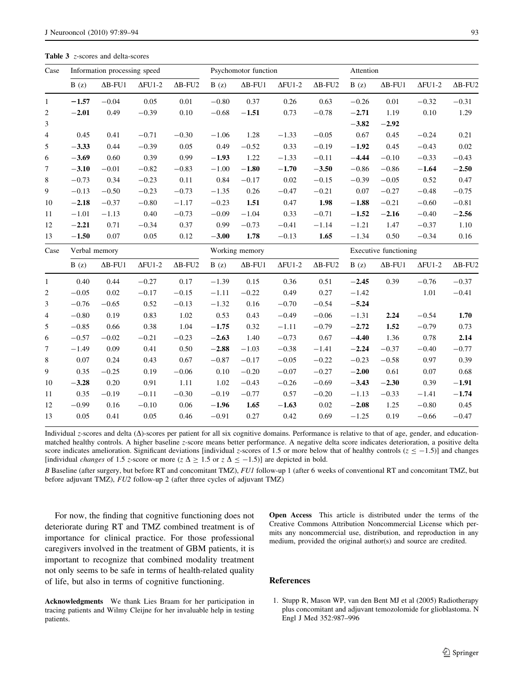<span id="page-4-0"></span>Table 3 z-scores and delta-scores

| Case           | Information processing speed |                 |                |                            | Psychomotor function |                 |                |                            | Attention             |                 |                |                            |
|----------------|------------------------------|-----------------|----------------|----------------------------|----------------------|-----------------|----------------|----------------------------|-----------------------|-----------------|----------------|----------------------------|
|                | B(z)                         | $\Delta B$ -FU1 | $\Delta$ FU1-2 | $\Delta$ B-FU <sub>2</sub> | B(z)                 | $\Delta B$ -FU1 | $\Delta$ FU1-2 | $\Delta$ B-FU <sub>2</sub> | B(z)                  | $\Delta$ B-FU1  | $\Delta$ FU1-2 | $\Delta$ B-FU <sub>2</sub> |
| $\mathbf{1}$   | $-1.57$                      | $-0.04$         | 0.05           | 0.01                       | $-0.80$              | 0.37            | 0.26           | 0.63                       | $-0.26$               | 0.01            | $-0.32$        | $-0.31$                    |
| 2              | $-2.01$                      | 0.49            | $-0.39$        | 0.10                       | $-0.68$              | $-1.51$         | 0.73           | $-0.78$                    | $-2.71$               | 1.19            | 0.10           | 1.29                       |
| 3              |                              |                 |                |                            |                      |                 |                |                            | $-3.82$               | $-2.92$         |                |                            |
| $\overline{4}$ | 0.45                         | 0.41            | $-0.71$        | $-0.30$                    | $-1.06$              | 1.28            | $-1.33$        | $-0.05$                    | 0.67                  | 0.45            | $-0.24$        | 0.21                       |
| 5              | $-3.33$                      | 0.44            | $-0.39$        | 0.05                       | 0.49                 | $-0.52$         | 0.33           | $-0.19$                    | $-1.92$               | 0.45            | $-0.43$        | 0.02                       |
| 6              | $-3.69$                      | 0.60            | 0.39           | 0.99                       | $-1.93$              | 1.22            | $-1.33$        | $-0.11$                    | $-4.44$               | $-0.10$         | $-0.33$        | $-0.43$                    |
| 7              | $-3.10$                      | $-0.01$         | $-0.82$        | $-0.83$                    | $-1.00$              | $-1.80$         | $-1.70$        | $-3.50$                    | $-0.86$               | $-0.86$         | $-1.64$        | $-2.50$                    |
| 8              | $-0.73$                      | 0.34            | $-0.23$        | 0.11                       | 0.84                 | $-0.17$         | 0.02           | $-0.15$                    | $-0.39$               | $-0.05$         | 0.52           | 0.47                       |
| 9              | $-0.13$                      | $-0.50$         | $-0.23$        | $-0.73$                    | $-1.35$              | 0.26            | $-0.47$        | $-0.21$                    | 0.07                  | $-0.27$         | $-0.48$        | $-0.75$                    |
| 10             | $-2.18$                      | $-0.37$         | $-0.80$        | $-1.17$                    | $-0.23$              | 1.51            | 0.47           | 1.98                       | $-1.88$               | $-0.21$         | $-0.60$        | $-0.81$                    |
| 11             | $-1.01$                      | $-1.13$         | 0.40           | $-0.73$                    | $-0.09$              | $-1.04$         | 0.33           | $-0.71$                    | $-1.52$               | $-2.16$         | $-0.40$        | $-2.56$                    |
| 12             | $-2.21$                      | 0.71            | $-0.34$        | 0.37                       | 0.99                 | $-0.73$         | $-0.41$        | $-1.14$                    | $-1.21$               | 1.47            | $-0.37$        | 1.10                       |
| 13             | $-1.50$                      | 0.07            | 0.05           | 0.12                       | $-3.00$              | 1.78            | $-0.13$        | 1.65                       | $-1.34$               | 0.50            | $-0.34$        | 0.16                       |
| Case           | Verbal memory                |                 |                |                            | Working memory       |                 |                |                            | Executive functioning |                 |                |                            |
|                |                              |                 |                |                            |                      |                 |                |                            |                       |                 |                |                            |
|                | B(z)                         | $\Delta B$ -FU1 | $\Delta$ FU1-2 | $\Delta$ B-FU2             | B(z)                 | $\Delta B$ -FU1 | $\Delta$ FU1-2 | $\Delta$ B-FU2             | B(z)                  | $\Delta B$ -FU1 | $\Delta$ FU1-2 | $\Delta$ B-FU2             |
| $\mathbf{1}$   | 0.40                         | 0.44            | $-0.27$        | 0.17                       | $-1.39$              | 0.15            | 0.36           | 0.51                       | $-2.45$               | 0.39            | $-0.76$        | $-0.37$                    |
| $\overline{c}$ | $-0.05$                      | 0.02            | $-0.17$        | $-0.15$                    | $-1.11$              | $-0.22$         | 0.49           | 0.27                       | $-1.42$               |                 | 1.01           | $-0.41$                    |
| 3              | $-0.76$                      | $-0.65$         | 0.52           | $-0.13$                    | $-1.32$              | 0.16            | $-0.70$        | $-0.54$                    | $-5.24$               |                 |                |                            |
| 4              | $-0.80$                      | 0.19            | 0.83           | 1.02                       | 0.53                 | 0.43            | $-0.49$        | $-0.06$                    | $-1.31$               | 2.24            | $-0.54$        | 1.70                       |
| 5              | $-0.85$                      | 0.66            | 0.38           | 1.04                       | $-1.75$              | 0.32            | $-1.11$        | $-0.79$                    | $-2.72$               | 1.52            | $-0.79$        | 0.73                       |
| 6              | $-0.57$                      | $-0.02$         | $-0.21$        | $-0.23$                    | $-2.63$              | 1.40            | $-0.73$        | 0.67                       | $-4.40$               | 1.36            | 0.78           | 2.14                       |
| 7              | $-1.49$                      | 0.09            | 0.41           | 0.50                       | $-2.88$              | $-1.03$         | $-0.38$        | $-1.41$                    | $-2.24$               | $-0.37$         | $-0.40$        | $-0.77$                    |
| 8              | 0.07                         | 0.24            | 0.43           | 0.67                       | $-0.87$              | $-0.17$         | $-0.05$        | $-0.22$                    | $-0.23$               | $-0.58$         | 0.97           | 0.39                       |
| 9              | 0.35                         | $-0.25$         | 0.19           | $-0.06$                    | 0.10                 | $-0.20$         | $-0.07$        | $-0.27$                    | $-2.00$               | 0.61            | 0.07           | 0.68                       |
| 10             | $-3.28$                      | 0.20            | 0.91           | 1.11                       | 1.02                 | $-0.43$         | $-0.26$        | $-0.69$                    | $-3.43$               | $-2.30$         | 0.39           | $-1.91$                    |
| 11             | 0.35                         | $-0.19$         | $-0.11$        | $-0.30$                    | $-0.19$              | $-0.77$         | 0.57           | $-0.20$                    | $-1.13$               | $-0.33$         | $-1.41$        | $-1.74$                    |
| 12             | $-0.99$                      | 0.16            | $-0.10$        | 0.06                       | $-1.96$              | 1.65            | $-1.63$        | $0.02\,$                   | $-2.08$               | 1.25            | $-0.80$        | 0.45                       |

Individual z-scores and delta  $(\Delta)$ -scores per patient for all six cognitive domains. Performance is relative to that of age, gender, and educationmatched healthy controls. A higher baseline z-score means better performance. A negative delta score indicates deterioration, a positive delta score indicates amelioration. Significant deviations [individual z-scores of 1.5 or more below that of healthy controls ( $z \le -1.5$ )] and changes [individual *changes* of 1.5 z-score or more ( $z \Delta \ge 1.5$  or  $z \Delta \le -1.5$ )] are depicted in bold.

B Baseline (after surgery, but before RT and concomitant TMZ), FU1 follow-up 1 (after 6 weeks of conventional RT and concomitant TMZ, but before adjuvant TMZ), FU2 follow-up 2 (after three cycles of adjuvant TMZ)

For now, the finding that cognitive functioning does not deteriorate during RT and TMZ combined treatment is of importance for clinical practice. For those professional caregivers involved in the treatment of GBM patients, it is important to recognize that combined modality treatment not only seems to be safe in terms of health-related quality of life, but also in terms of cognitive functioning.

Acknowledgments We thank Lies Braam for her participation in tracing patients and Wilmy Cleijne for her invaluable help in testing patients.

Open Access This article is distributed under the terms of the Creative Commons Attribution Noncommercial License which permits any noncommercial use, distribution, and reproduction in any medium, provided the original author(s) and source are credited.

### References

1. Stupp R, Mason WP, van den Bent MJ et al (2005) Radiotherapy plus concomitant and adjuvant temozolomide for glioblastoma. N Engl J Med 352:987–996